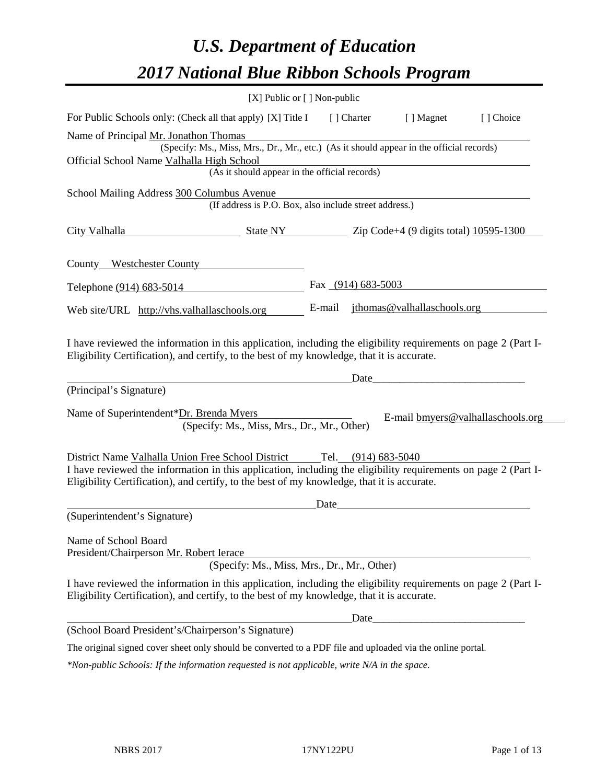# *U.S. Department of Education 2017 National Blue Ribbon Schools Program*

| [X] Public or [] Non-public                                                                                                                                                                                                                                                           |        |                      |                                   |            |
|---------------------------------------------------------------------------------------------------------------------------------------------------------------------------------------------------------------------------------------------------------------------------------------|--------|----------------------|-----------------------------------|------------|
| For Public Schools only: (Check all that apply) [X] Title I [] Charter                                                                                                                                                                                                                |        |                      | [ ] Magnet                        | [ ] Choice |
| Name of Principal Mr. Jonathon Thomas<br>(Specify: Ms., Miss, Mrs., Dr., Mr., etc.) (As it should appear in the official records)                                                                                                                                                     |        |                      |                                   |            |
| Official School Name Valhalla High School<br>(As it should appear in the official records)                                                                                                                                                                                            |        |                      |                                   |            |
|                                                                                                                                                                                                                                                                                       |        |                      |                                   |            |
| School Mailing Address 300 Columbus Avenue<br>(If address is P.O. Box, also include street address.)                                                                                                                                                                                  |        |                      |                                   |            |
| City Valhalla<br>$\frac{\text{State NY}}{\text{Size NY}}$ $\frac{\text{Zip Code+4 (9 digits total)} 10595-1300}{\text{List Total}}$                                                                                                                                                   |        |                      |                                   |            |
| County Westchester County                                                                                                                                                                                                                                                             |        |                      |                                   |            |
| Telephone (914) 683-5014                                                                                                                                                                                                                                                              |        | Fax $(914)$ 683-5003 |                                   |            |
| Web site/URL http://vhs.valhallaschools.org                                                                                                                                                                                                                                           | E-mail |                      | jthomas@valhallaschools.org       |            |
| I have reviewed the information in this application, including the eligibility requirements on page 2 (Part I-<br>Eligibility Certification), and certify, to the best of my knowledge, that it is accurate.<br>(Principal's Signature)                                               |        | Date                 |                                   |            |
| Name of Superintendent*Dr. Brenda Myers<br>(Specify: Ms., Miss, Mrs., Dr., Mr., Other)                                                                                                                                                                                                |        |                      | E-mail bmyers@valhallaschools.org |            |
| District Name Valhalla Union Free School District Tel. (914) 683-5040<br>I have reviewed the information in this application, including the eligibility requirements on page 2 (Part I-<br>Eligibility Certification), and certify, to the best of my knowledge, that it is accurate. | Date   |                      |                                   |            |
| (Superintendent's Signature)                                                                                                                                                                                                                                                          |        |                      |                                   |            |
| Name of School Board<br>President/Chairperson Mr. Robert Ierace<br>(Specify: Ms., Miss, Mrs., Dr., Mr., Other)                                                                                                                                                                        |        |                      |                                   |            |
| I have reviewed the information in this application, including the eligibility requirements on page 2 (Part I-<br>Eligibility Certification), and certify, to the best of my knowledge, that it is accurate.                                                                          |        |                      |                                   |            |
|                                                                                                                                                                                                                                                                                       |        | Date                 |                                   |            |
| (School Board President's/Chairperson's Signature)                                                                                                                                                                                                                                    |        |                      |                                   |            |
| The original signed cover sheet only should be converted to a PDF file and uploaded via the online portal.                                                                                                                                                                            |        |                      |                                   |            |
| *Non-public Schools: If the information requested is not applicable, write N/A in the space.                                                                                                                                                                                          |        |                      |                                   |            |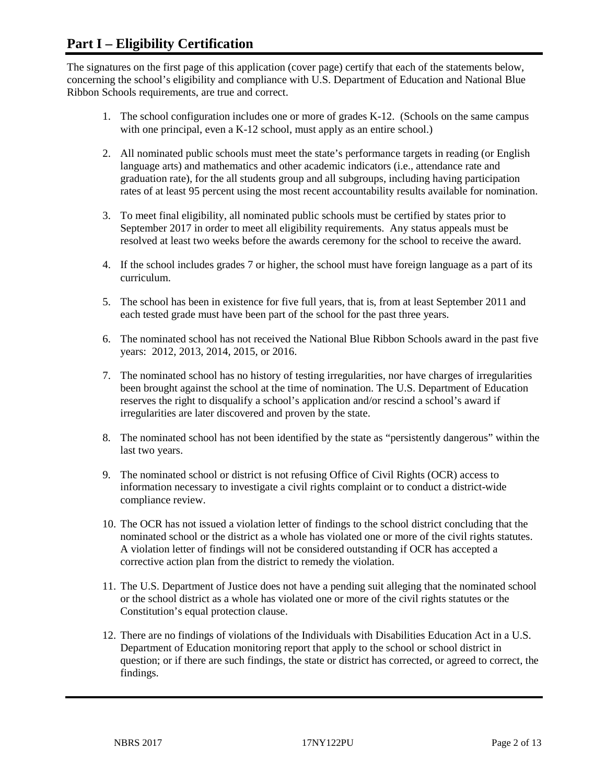## **Part I – Eligibility Certification**

The signatures on the first page of this application (cover page) certify that each of the statements below, concerning the school's eligibility and compliance with U.S. Department of Education and National Blue Ribbon Schools requirements, are true and correct.

- 1. The school configuration includes one or more of grades K-12. (Schools on the same campus with one principal, even a K-12 school, must apply as an entire school.)
- 2. All nominated public schools must meet the state's performance targets in reading (or English language arts) and mathematics and other academic indicators (i.e., attendance rate and graduation rate), for the all students group and all subgroups, including having participation rates of at least 95 percent using the most recent accountability results available for nomination.
- 3. To meet final eligibility, all nominated public schools must be certified by states prior to September 2017 in order to meet all eligibility requirements. Any status appeals must be resolved at least two weeks before the awards ceremony for the school to receive the award.
- 4. If the school includes grades 7 or higher, the school must have foreign language as a part of its curriculum.
- 5. The school has been in existence for five full years, that is, from at least September 2011 and each tested grade must have been part of the school for the past three years.
- 6. The nominated school has not received the National Blue Ribbon Schools award in the past five years: 2012, 2013, 2014, 2015, or 2016.
- 7. The nominated school has no history of testing irregularities, nor have charges of irregularities been brought against the school at the time of nomination. The U.S. Department of Education reserves the right to disqualify a school's application and/or rescind a school's award if irregularities are later discovered and proven by the state.
- 8. The nominated school has not been identified by the state as "persistently dangerous" within the last two years.
- 9. The nominated school or district is not refusing Office of Civil Rights (OCR) access to information necessary to investigate a civil rights complaint or to conduct a district-wide compliance review.
- 10. The OCR has not issued a violation letter of findings to the school district concluding that the nominated school or the district as a whole has violated one or more of the civil rights statutes. A violation letter of findings will not be considered outstanding if OCR has accepted a corrective action plan from the district to remedy the violation.
- 11. The U.S. Department of Justice does not have a pending suit alleging that the nominated school or the school district as a whole has violated one or more of the civil rights statutes or the Constitution's equal protection clause.
- 12. There are no findings of violations of the Individuals with Disabilities Education Act in a U.S. Department of Education monitoring report that apply to the school or school district in question; or if there are such findings, the state or district has corrected, or agreed to correct, the findings.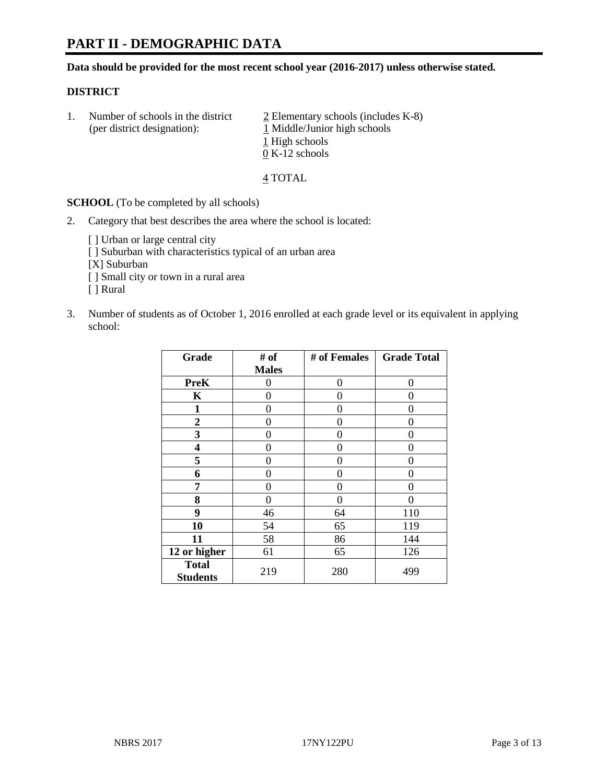## **PART II - DEMOGRAPHIC DATA**

**Data should be provided for the most recent school year (2016-2017) unless otherwise stated.** 

#### **DISTRICT**

1. Number of schools in the district  $\frac{2}{2}$  Elementary schools (includes K-8) (per district designation): 1 Middle/Junior high schools 1 High schools 0 K-12 schools

4 TOTAL

**SCHOOL** (To be completed by all schools)

2. Category that best describes the area where the school is located:

[] Urban or large central city

[ ] Suburban with characteristics typical of an urban area

[X] Suburban

[ ] Small city or town in a rural area

[ ] Rural

3. Number of students as of October 1, 2016 enrolled at each grade level or its equivalent in applying school:

| Grade                           | # of         | # of Females | <b>Grade Total</b> |
|---------------------------------|--------------|--------------|--------------------|
|                                 | <b>Males</b> |              |                    |
| <b>PreK</b>                     | 0            | 0            | 0                  |
| K                               | 0            | 0            | 0                  |
| 1                               | 0            | 0            | 0                  |
| $\overline{2}$                  | 0            | 0            | 0                  |
| 3                               | 0            | 0            | 0                  |
| 4                               | 0            | 0            | 0                  |
| 5                               | 0            | 0            | 0                  |
| 6                               | 0            | 0            | 0                  |
| 7                               | 0            | 0            | 0                  |
| 8                               | 0            | 0            | 0                  |
| 9                               | 46           | 64           | 110                |
| 10                              | 54           | 65           | 119                |
| 11                              | 58           | 86           | 144                |
| 12 or higher                    | 61           | 65           | 126                |
| <b>Total</b><br><b>Students</b> | 219          | 280          | 499                |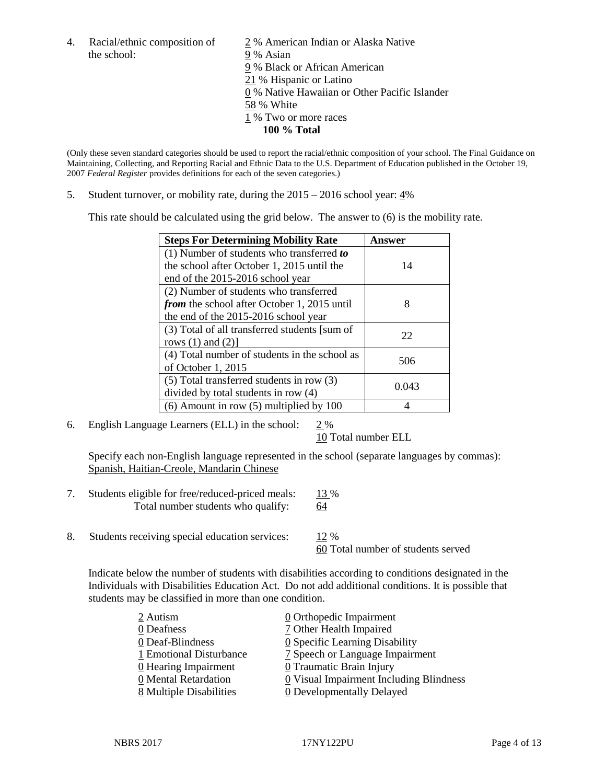the school: 9% Asian

4. Racial/ethnic composition of  $\frac{2}{9}$ % American Indian or Alaska Native 9 % Black or African American 21 % Hispanic or Latino 0 % Native Hawaiian or Other Pacific Islander 58 % White 1 % Two or more races **100 % Total**

(Only these seven standard categories should be used to report the racial/ethnic composition of your school. The Final Guidance on Maintaining, Collecting, and Reporting Racial and Ethnic Data to the U.S. Department of Education published in the October 19, 2007 *Federal Register* provides definitions for each of the seven categories.)

5. Student turnover, or mobility rate, during the 2015 – 2016 school year: 4%

This rate should be calculated using the grid below. The answer to (6) is the mobility rate.

| <b>Steps For Determining Mobility Rate</b>    | Answer |  |
|-----------------------------------------------|--------|--|
| (1) Number of students who transferred to     |        |  |
| the school after October 1, 2015 until the    | 14     |  |
| end of the 2015-2016 school year              |        |  |
| (2) Number of students who transferred        |        |  |
| from the school after October 1, 2015 until   | 8      |  |
| the end of the 2015-2016 school year          |        |  |
| (3) Total of all transferred students [sum of | 22     |  |
| rows $(1)$ and $(2)$ ]                        |        |  |
| (4) Total number of students in the school as | 506    |  |
| of October 1, 2015                            |        |  |
| (5) Total transferred students in row (3)     | 0.043  |  |
| divided by total students in row (4)          |        |  |
| $(6)$ Amount in row $(5)$ multiplied by 100   |        |  |

6. English Language Learners (ELL) in the school:  $2\%$ 

10 Total number ELL

Specify each non-English language represented in the school (separate languages by commas): Spanish, Haitian-Creole, Mandarin Chinese

- 7. Students eligible for free/reduced-priced meals: 13 % Total number students who qualify: 64
- 8. Students receiving special education services: 12 %

60 Total number of students served

Indicate below the number of students with disabilities according to conditions designated in the Individuals with Disabilities Education Act. Do not add additional conditions. It is possible that students may be classified in more than one condition.

| 2 Autism                | 0 Orthopedic Impairment                               |
|-------------------------|-------------------------------------------------------|
| 0 Deafness              | 7 Other Health Impaired                               |
| 0 Deaf-Blindness        | $\underline{0}$ Specific Learning Disability          |
| 1 Emotional Disturbance | 7 Speech or Language Impairment                       |
| 0 Hearing Impairment    | 0 Traumatic Brain Injury                              |
| 0 Mental Retardation    | $\underline{0}$ Visual Impairment Including Blindness |
| 8 Multiple Disabilities | <b>0</b> Developmentally Delayed                      |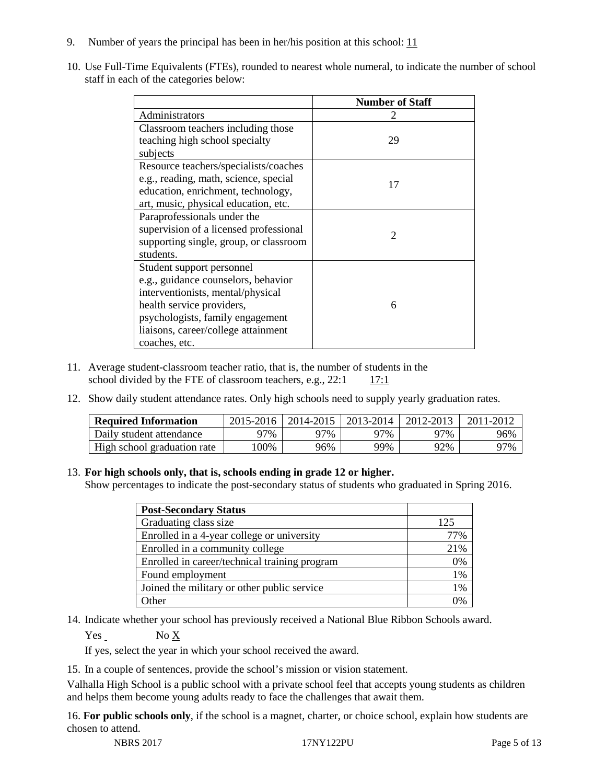- 9. Number of years the principal has been in her/his position at this school:  $11$
- 10. Use Full-Time Equivalents (FTEs), rounded to nearest whole numeral, to indicate the number of school staff in each of the categories below:

|                                        | <b>Number of Staff</b> |
|----------------------------------------|------------------------|
| Administrators                         |                        |
| Classroom teachers including those     |                        |
| teaching high school specialty         | 29                     |
| subjects                               |                        |
| Resource teachers/specialists/coaches  |                        |
| e.g., reading, math, science, special  | 17                     |
| education, enrichment, technology,     |                        |
| art, music, physical education, etc.   |                        |
| Paraprofessionals under the            |                        |
| supervision of a licensed professional | $\mathfrak{D}$         |
| supporting single, group, or classroom |                        |
| students.                              |                        |
| Student support personnel              |                        |
| e.g., guidance counselors, behavior    |                        |
| interventionists, mental/physical      |                        |
| health service providers,              | 6                      |
| psychologists, family engagement       |                        |
| liaisons, career/college attainment    |                        |
| coaches, etc.                          |                        |

- 11. Average student-classroom teacher ratio, that is, the number of students in the school divided by the FTE of classroom teachers, e.g.,  $22:1$  17:1
- 12. Show daily student attendance rates. Only high schools need to supply yearly graduation rates.

| <b>Required Information</b> | 2015-2016 | 2014-2015 | 2013-2014 | 2012-2013 | 2011-2012 |
|-----------------------------|-----------|-----------|-----------|-----------|-----------|
| Daily student attendance    | 77%       | 97%       | 97%       | 97%       | 96%       |
| High school graduation rate | 100%      | 96%       | 99%       | 92%       | 97%       |

#### 13. **For high schools only, that is, schools ending in grade 12 or higher.**

Show percentages to indicate the post-secondary status of students who graduated in Spring 2016.

| <b>Post-Secondary Status</b>                  |     |
|-----------------------------------------------|-----|
| Graduating class size                         | 125 |
| Enrolled in a 4-year college or university    | 77% |
| Enrolled in a community college               | 21% |
| Enrolled in career/technical training program | 0%  |
| Found employment                              | 1%  |
| Joined the military or other public service   | 1%  |
| <b>Ther</b>                                   |     |

14. Indicate whether your school has previously received a National Blue Ribbon Schools award.

Yes No X

If yes, select the year in which your school received the award.

15. In a couple of sentences, provide the school's mission or vision statement.

Valhalla High School is a public school with a private school feel that accepts young students as children and helps them become young adults ready to face the challenges that await them.

16. **For public schools only**, if the school is a magnet, charter, or choice school, explain how students are chosen to attend.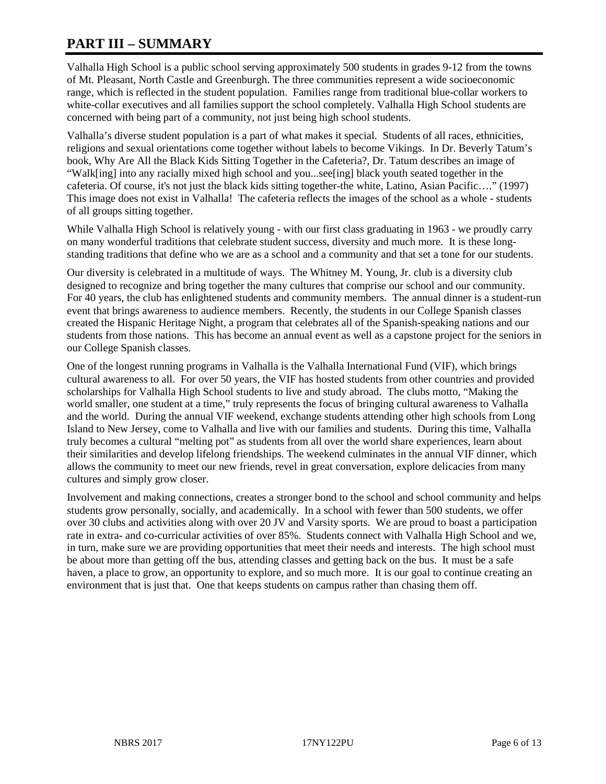# **PART III – SUMMARY**

Valhalla High School is a public school serving approximately 500 students in grades 9-12 from the towns of Mt. Pleasant, North Castle and Greenburgh. The three communities represent a wide socioeconomic range, which is reflected in the student population. Families range from traditional blue-collar workers to white-collar executives and all families support the school completely. Valhalla High School students are concerned with being part of a community, not just being high school students.

Valhalla's diverse student population is a part of what makes it special. Students of all races, ethnicities, religions and sexual orientations come together without labels to become Vikings. In Dr. Beverly Tatum's book, Why Are All the Black Kids Sitting Together in the Cafeteria?, Dr. Tatum describes an image of "Walk[ing] into any racially mixed high school and you...see[ing] black youth seated together in the cafeteria. Of course, it's not just the black kids sitting together-the white, Latino, Asian Pacific…." (1997) This image does not exist in Valhalla! The cafeteria reflects the images of the school as a whole - students of all groups sitting together.

While Valhalla High School is relatively young - with our first class graduating in 1963 - we proudly carry on many wonderful traditions that celebrate student success, diversity and much more. It is these longstanding traditions that define who we are as a school and a community and that set a tone for our students.

Our diversity is celebrated in a multitude of ways. The Whitney M. Young, Jr. club is a diversity club designed to recognize and bring together the many cultures that comprise our school and our community. For 40 years, the club has enlightened students and community members. The annual dinner is a student-run event that brings awareness to audience members. Recently, the students in our College Spanish classes created the Hispanic Heritage Night, a program that celebrates all of the Spanish-speaking nations and our students from those nations. This has become an annual event as well as a capstone project for the seniors in our College Spanish classes.

One of the longest running programs in Valhalla is the Valhalla International Fund (VIF), which brings cultural awareness to all. For over 50 years, the VIF has hosted students from other countries and provided scholarships for Valhalla High School students to live and study abroad. The clubs motto, "Making the world smaller, one student at a time," truly represents the focus of bringing cultural awareness to Valhalla and the world. During the annual VIF weekend, exchange students attending other high schools from Long Island to New Jersey, come to Valhalla and live with our families and students. During this time, Valhalla truly becomes a cultural "melting pot" as students from all over the world share experiences, learn about their similarities and develop lifelong friendships. The weekend culminates in the annual VIF dinner, which allows the community to meet our new friends, revel in great conversation, explore delicacies from many cultures and simply grow closer.

Involvement and making connections, creates a stronger bond to the school and school community and helps students grow personally, socially, and academically. In a school with fewer than 500 students, we offer over 30 clubs and activities along with over 20 JV and Varsity sports. We are proud to boast a participation rate in extra- and co-curricular activities of over 85%. Students connect with Valhalla High School and we, in turn, make sure we are providing opportunities that meet their needs and interests. The high school must be about more than getting off the bus, attending classes and getting back on the bus. It must be a safe haven, a place to grow, an opportunity to explore, and so much more. It is our goal to continue creating an environment that is just that. One that keeps students on campus rather than chasing them off.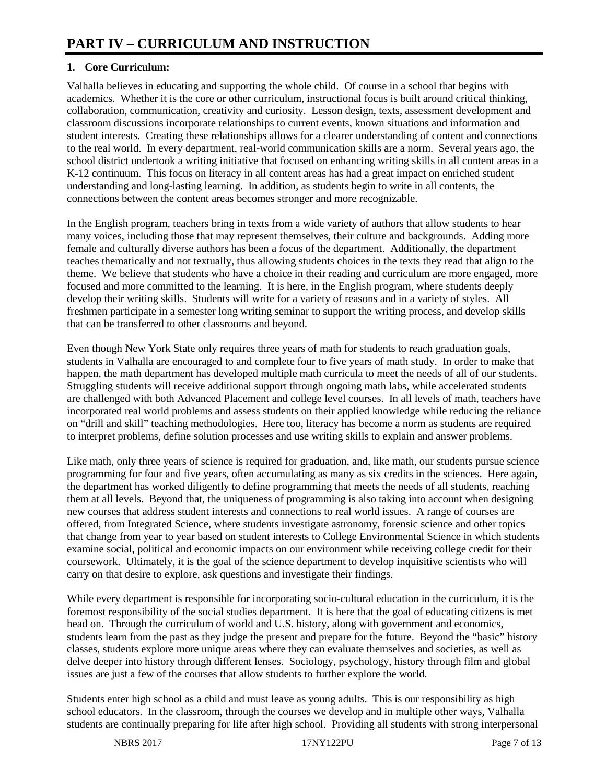## **1. Core Curriculum:**

Valhalla believes in educating and supporting the whole child. Of course in a school that begins with academics. Whether it is the core or other curriculum, instructional focus is built around critical thinking, collaboration, communication, creativity and curiosity. Lesson design, texts, assessment development and classroom discussions incorporate relationships to current events, known situations and information and student interests. Creating these relationships allows for a clearer understanding of content and connections to the real world. In every department, real-world communication skills are a norm. Several years ago, the school district undertook a writing initiative that focused on enhancing writing skills in all content areas in a K-12 continuum. This focus on literacy in all content areas has had a great impact on enriched student understanding and long-lasting learning. In addition, as students begin to write in all contents, the connections between the content areas becomes stronger and more recognizable.

In the English program, teachers bring in texts from a wide variety of authors that allow students to hear many voices, including those that may represent themselves, their culture and backgrounds. Adding more female and culturally diverse authors has been a focus of the department. Additionally, the department teaches thematically and not textually, thus allowing students choices in the texts they read that align to the theme. We believe that students who have a choice in their reading and curriculum are more engaged, more focused and more committed to the learning. It is here, in the English program, where students deeply develop their writing skills. Students will write for a variety of reasons and in a variety of styles. All freshmen participate in a semester long writing seminar to support the writing process, and develop skills that can be transferred to other classrooms and beyond.

Even though New York State only requires three years of math for students to reach graduation goals, students in Valhalla are encouraged to and complete four to five years of math study. In order to make that happen, the math department has developed multiple math curricula to meet the needs of all of our students. Struggling students will receive additional support through ongoing math labs, while accelerated students are challenged with both Advanced Placement and college level courses. In all levels of math, teachers have incorporated real world problems and assess students on their applied knowledge while reducing the reliance on "drill and skill" teaching methodologies. Here too, literacy has become a norm as students are required to interpret problems, define solution processes and use writing skills to explain and answer problems.

Like math, only three years of science is required for graduation, and, like math, our students pursue science programming for four and five years, often accumulating as many as six credits in the sciences. Here again, the department has worked diligently to define programming that meets the needs of all students, reaching them at all levels. Beyond that, the uniqueness of programming is also taking into account when designing new courses that address student interests and connections to real world issues. A range of courses are offered, from Integrated Science, where students investigate astronomy, forensic science and other topics that change from year to year based on student interests to College Environmental Science in which students examine social, political and economic impacts on our environment while receiving college credit for their coursework. Ultimately, it is the goal of the science department to develop inquisitive scientists who will carry on that desire to explore, ask questions and investigate their findings.

While every department is responsible for incorporating socio-cultural education in the curriculum, it is the foremost responsibility of the social studies department. It is here that the goal of educating citizens is met head on. Through the curriculum of world and U.S. history, along with government and economics, students learn from the past as they judge the present and prepare for the future. Beyond the "basic" history classes, students explore more unique areas where they can evaluate themselves and societies, as well as delve deeper into history through different lenses. Sociology, psychology, history through film and global issues are just a few of the courses that allow students to further explore the world.

Students enter high school as a child and must leave as young adults. This is our responsibility as high school educators. In the classroom, through the courses we develop and in multiple other ways, Valhalla students are continually preparing for life after high school. Providing all students with strong interpersonal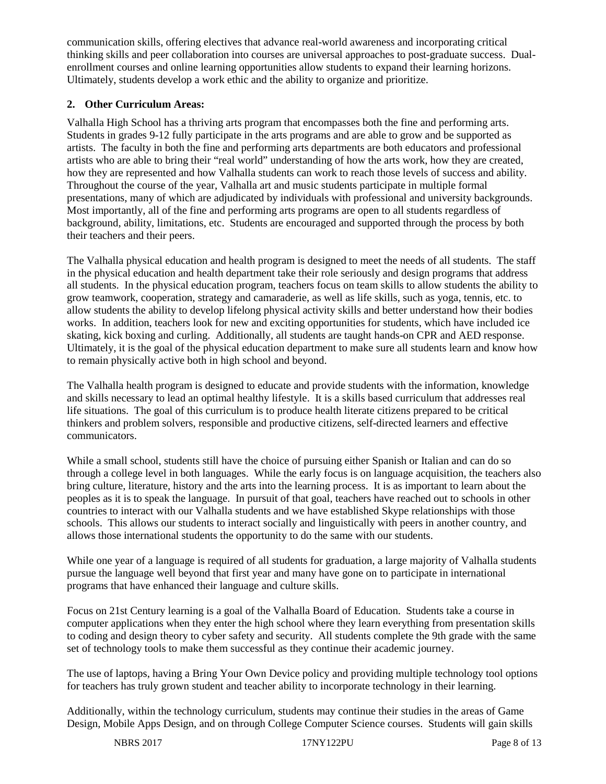communication skills, offering electives that advance real-world awareness and incorporating critical thinking skills and peer collaboration into courses are universal approaches to post-graduate success. Dualenrollment courses and online learning opportunities allow students to expand their learning horizons. Ultimately, students develop a work ethic and the ability to organize and prioritize.

### **2. Other Curriculum Areas:**

Valhalla High School has a thriving arts program that encompasses both the fine and performing arts. Students in grades 9-12 fully participate in the arts programs and are able to grow and be supported as artists. The faculty in both the fine and performing arts departments are both educators and professional artists who are able to bring their "real world" understanding of how the arts work, how they are created, how they are represented and how Valhalla students can work to reach those levels of success and ability. Throughout the course of the year, Valhalla art and music students participate in multiple formal presentations, many of which are adjudicated by individuals with professional and university backgrounds. Most importantly, all of the fine and performing arts programs are open to all students regardless of background, ability, limitations, etc. Students are encouraged and supported through the process by both their teachers and their peers.

The Valhalla physical education and health program is designed to meet the needs of all students. The staff in the physical education and health department take their role seriously and design programs that address all students. In the physical education program, teachers focus on team skills to allow students the ability to grow teamwork, cooperation, strategy and camaraderie, as well as life skills, such as yoga, tennis, etc. to allow students the ability to develop lifelong physical activity skills and better understand how their bodies works. In addition, teachers look for new and exciting opportunities for students, which have included ice skating, kick boxing and curling. Additionally, all students are taught hands-on CPR and AED response. Ultimately, it is the goal of the physical education department to make sure all students learn and know how to remain physically active both in high school and beyond.

The Valhalla health program is designed to educate and provide students with the information, knowledge and skills necessary to lead an optimal healthy lifestyle. It is a skills based curriculum that addresses real life situations. The goal of this curriculum is to produce health literate citizens prepared to be critical thinkers and problem solvers, responsible and productive citizens, self-directed learners and effective communicators.

While a small school, students still have the choice of pursuing either Spanish or Italian and can do so through a college level in both languages. While the early focus is on language acquisition, the teachers also bring culture, literature, history and the arts into the learning process. It is as important to learn about the peoples as it is to speak the language. In pursuit of that goal, teachers have reached out to schools in other countries to interact with our Valhalla students and we have established Skype relationships with those schools. This allows our students to interact socially and linguistically with peers in another country, and allows those international students the opportunity to do the same with our students.

While one year of a language is required of all students for graduation, a large majority of Valhalla students pursue the language well beyond that first year and many have gone on to participate in international programs that have enhanced their language and culture skills.

Focus on 21st Century learning is a goal of the Valhalla Board of Education. Students take a course in computer applications when they enter the high school where they learn everything from presentation skills to coding and design theory to cyber safety and security. All students complete the 9th grade with the same set of technology tools to make them successful as they continue their academic journey.

The use of laptops, having a Bring Your Own Device policy and providing multiple technology tool options for teachers has truly grown student and teacher ability to incorporate technology in their learning.

Additionally, within the technology curriculum, students may continue their studies in the areas of Game Design, Mobile Apps Design, and on through College Computer Science courses. Students will gain skills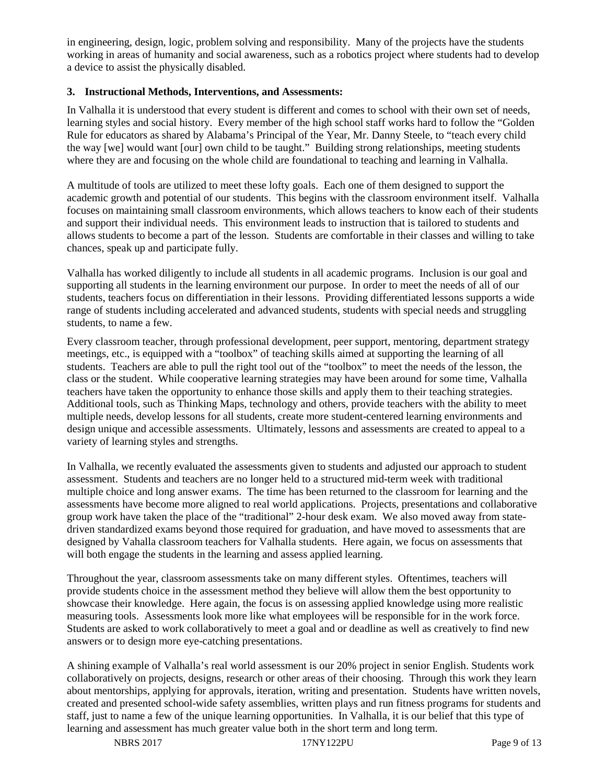in engineering, design, logic, problem solving and responsibility. Many of the projects have the students working in areas of humanity and social awareness, such as a robotics project where students had to develop a device to assist the physically disabled.

#### **3. Instructional Methods, Interventions, and Assessments:**

In Valhalla it is understood that every student is different and comes to school with their own set of needs, learning styles and social history. Every member of the high school staff works hard to follow the "Golden Rule for educators as shared by Alabama's Principal of the Year, Mr. Danny Steele, to "teach every child the way [we] would want [our] own child to be taught." Building strong relationships, meeting students where they are and focusing on the whole child are foundational to teaching and learning in Valhalla.

A multitude of tools are utilized to meet these lofty goals. Each one of them designed to support the academic growth and potential of our students. This begins with the classroom environment itself. Valhalla focuses on maintaining small classroom environments, which allows teachers to know each of their students and support their individual needs. This environment leads to instruction that is tailored to students and allows students to become a part of the lesson. Students are comfortable in their classes and willing to take chances, speak up and participate fully.

Valhalla has worked diligently to include all students in all academic programs. Inclusion is our goal and supporting all students in the learning environment our purpose. In order to meet the needs of all of our students, teachers focus on differentiation in their lessons. Providing differentiated lessons supports a wide range of students including accelerated and advanced students, students with special needs and struggling students, to name a few.

Every classroom teacher, through professional development, peer support, mentoring, department strategy meetings, etc., is equipped with a "toolbox" of teaching skills aimed at supporting the learning of all students. Teachers are able to pull the right tool out of the "toolbox" to meet the needs of the lesson, the class or the student. While cooperative learning strategies may have been around for some time, Valhalla teachers have taken the opportunity to enhance those skills and apply them to their teaching strategies. Additional tools, such as Thinking Maps, technology and others, provide teachers with the ability to meet multiple needs, develop lessons for all students, create more student-centered learning environments and design unique and accessible assessments. Ultimately, lessons and assessments are created to appeal to a variety of learning styles and strengths.

In Valhalla, we recently evaluated the assessments given to students and adjusted our approach to student assessment. Students and teachers are no longer held to a structured mid-term week with traditional multiple choice and long answer exams. The time has been returned to the classroom for learning and the assessments have become more aligned to real world applications. Projects, presentations and collaborative group work have taken the place of the "traditional" 2-hour desk exam. We also moved away from statedriven standardized exams beyond those required for graduation, and have moved to assessments that are designed by Vahalla classroom teachers for Valhalla students. Here again, we focus on assessments that will both engage the students in the learning and assess applied learning.

Throughout the year, classroom assessments take on many different styles. Oftentimes, teachers will provide students choice in the assessment method they believe will allow them the best opportunity to showcase their knowledge. Here again, the focus is on assessing applied knowledge using more realistic measuring tools. Assessments look more like what employees will be responsible for in the work force. Students are asked to work collaboratively to meet a goal and or deadline as well as creatively to find new answers or to design more eye-catching presentations.

A shining example of Valhalla's real world assessment is our 20% project in senior English. Students work collaboratively on projects, designs, research or other areas of their choosing. Through this work they learn about mentorships, applying for approvals, iteration, writing and presentation. Students have written novels, created and presented school-wide safety assemblies, written plays and run fitness programs for students and staff, just to name a few of the unique learning opportunities. In Valhalla, it is our belief that this type of learning and assessment has much greater value both in the short term and long term.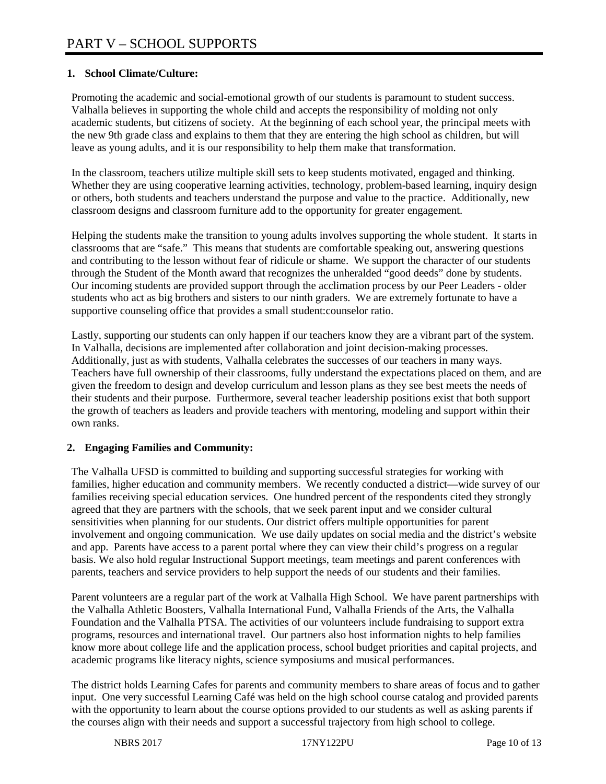## **1. School Climate/Culture:**

Promoting the academic and social-emotional growth of our students is paramount to student success. Valhalla believes in supporting the whole child and accepts the responsibility of molding not only academic students, but citizens of society. At the beginning of each school year, the principal meets with the new 9th grade class and explains to them that they are entering the high school as children, but will leave as young adults, and it is our responsibility to help them make that transformation.

In the classroom, teachers utilize multiple skill sets to keep students motivated, engaged and thinking. Whether they are using cooperative learning activities, technology, problem-based learning, inquiry design or others, both students and teachers understand the purpose and value to the practice. Additionally, new classroom designs and classroom furniture add to the opportunity for greater engagement.

Helping the students make the transition to young adults involves supporting the whole student. It starts in classrooms that are "safe." This means that students are comfortable speaking out, answering questions and contributing to the lesson without fear of ridicule or shame. We support the character of our students through the Student of the Month award that recognizes the unheralded "good deeds" done by students. Our incoming students are provided support through the acclimation process by our Peer Leaders - older students who act as big brothers and sisters to our ninth graders. We are extremely fortunate to have a supportive counseling office that provides a small student:counselor ratio.

Lastly, supporting our students can only happen if our teachers know they are a vibrant part of the system. In Valhalla, decisions are implemented after collaboration and joint decision-making processes. Additionally, just as with students, Valhalla celebrates the successes of our teachers in many ways. Teachers have full ownership of their classrooms, fully understand the expectations placed on them, and are given the freedom to design and develop curriculum and lesson plans as they see best meets the needs of their students and their purpose. Furthermore, several teacher leadership positions exist that both support the growth of teachers as leaders and provide teachers with mentoring, modeling and support within their own ranks.

#### **2. Engaging Families and Community:**

The Valhalla UFSD is committed to building and supporting successful strategies for working with families, higher education and community members. We recently conducted a district—wide survey of our families receiving special education services. One hundred percent of the respondents cited they strongly agreed that they are partners with the schools, that we seek parent input and we consider cultural sensitivities when planning for our students. Our district offers multiple opportunities for parent involvement and ongoing communication. We use daily updates on social media and the district's website and app. Parents have access to a parent portal where they can view their child's progress on a regular basis. We also hold regular Instructional Support meetings, team meetings and parent conferences with parents, teachers and service providers to help support the needs of our students and their families.

Parent volunteers are a regular part of the work at Valhalla High School. We have parent partnerships with the Valhalla Athletic Boosters, Valhalla International Fund, Valhalla Friends of the Arts, the Valhalla Foundation and the Valhalla PTSA. The activities of our volunteers include fundraising to support extra programs, resources and international travel. Our partners also host information nights to help families know more about college life and the application process, school budget priorities and capital projects, and academic programs like literacy nights, science symposiums and musical performances.

The district holds Learning Cafes for parents and community members to share areas of focus and to gather input. One very successful Learning Café was held on the high school course catalog and provided parents with the opportunity to learn about the course options provided to our students as well as asking parents if the courses align with their needs and support a successful trajectory from high school to college.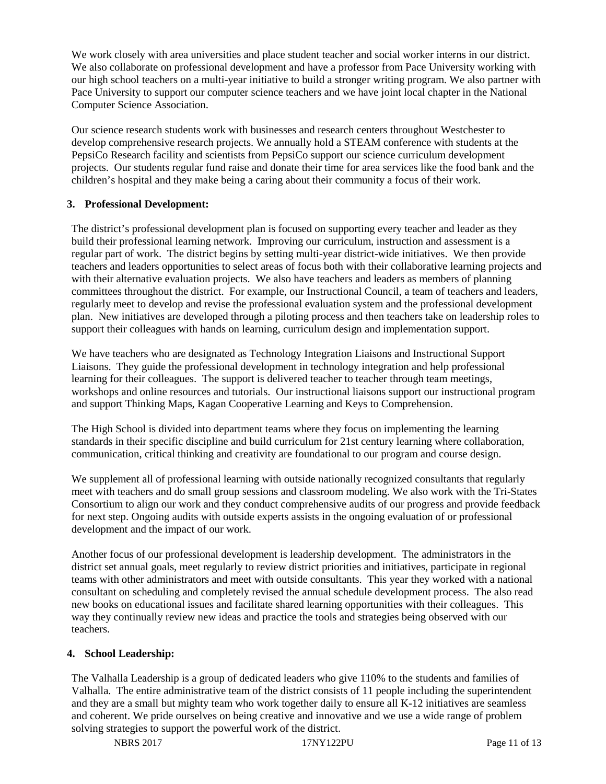We work closely with area universities and place student teacher and social worker interns in our district. We also collaborate on professional development and have a professor from Pace University working with our high school teachers on a multi-year initiative to build a stronger writing program. We also partner with Pace University to support our computer science teachers and we have joint local chapter in the National Computer Science Association.

Our science research students work with businesses and research centers throughout Westchester to develop comprehensive research projects. We annually hold a STEAM conference with students at the PepsiCo Research facility and scientists from PepsiCo support our science curriculum development projects. Our students regular fund raise and donate their time for area services like the food bank and the children's hospital and they make being a caring about their community a focus of their work.

#### **3. Professional Development:**

The district's professional development plan is focused on supporting every teacher and leader as they build their professional learning network. Improving our curriculum, instruction and assessment is a regular part of work. The district begins by setting multi-year district-wide initiatives. We then provide teachers and leaders opportunities to select areas of focus both with their collaborative learning projects and with their alternative evaluation projects. We also have teachers and leaders as members of planning committees throughout the district. For example, our Instructional Council, a team of teachers and leaders, regularly meet to develop and revise the professional evaluation system and the professional development plan. New initiatives are developed through a piloting process and then teachers take on leadership roles to support their colleagues with hands on learning, curriculum design and implementation support.

We have teachers who are designated as Technology Integration Liaisons and Instructional Support Liaisons. They guide the professional development in technology integration and help professional learning for their colleagues. The support is delivered teacher to teacher through team meetings, workshops and online resources and tutorials. Our instructional liaisons support our instructional program and support Thinking Maps, Kagan Cooperative Learning and Keys to Comprehension.

The High School is divided into department teams where they focus on implementing the learning standards in their specific discipline and build curriculum for 21st century learning where collaboration, communication, critical thinking and creativity are foundational to our program and course design.

We supplement all of professional learning with outside nationally recognized consultants that regularly meet with teachers and do small group sessions and classroom modeling. We also work with the Tri-States Consortium to align our work and they conduct comprehensive audits of our progress and provide feedback for next step. Ongoing audits with outside experts assists in the ongoing evaluation of or professional development and the impact of our work.

Another focus of our professional development is leadership development. The administrators in the district set annual goals, meet regularly to review district priorities and initiatives, participate in regional teams with other administrators and meet with outside consultants. This year they worked with a national consultant on scheduling and completely revised the annual schedule development process. The also read new books on educational issues and facilitate shared learning opportunities with their colleagues. This way they continually review new ideas and practice the tools and strategies being observed with our teachers.

#### **4. School Leadership:**

The Valhalla Leadership is a group of dedicated leaders who give 110% to the students and families of Valhalla. The entire administrative team of the district consists of 11 people including the superintendent and they are a small but mighty team who work together daily to ensure all K-12 initiatives are seamless and coherent. We pride ourselves on being creative and innovative and we use a wide range of problem solving strategies to support the powerful work of the district.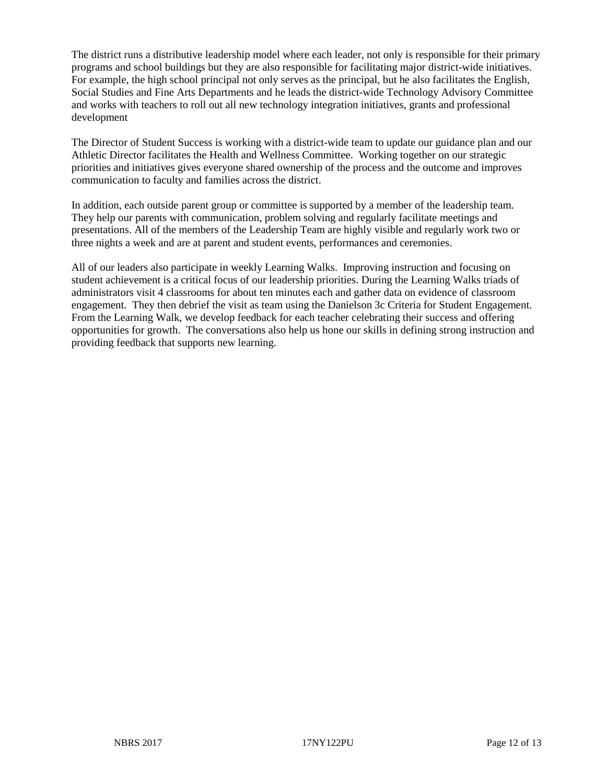The district runs a distributive leadership model where each leader, not only is responsible for their primary programs and school buildings but they are also responsible for facilitating major district-wide initiatives. For example, the high school principal not only serves as the principal, but he also facilitates the English, Social Studies and Fine Arts Departments and he leads the district-wide Technology Advisory Committee and works with teachers to roll out all new technology integration initiatives, grants and professional development

The Director of Student Success is working with a district-wide team to update our guidance plan and our Athletic Director facilitates the Health and Wellness Committee. Working together on our strategic priorities and initiatives gives everyone shared ownership of the process and the outcome and improves communication to faculty and families across the district.

In addition, each outside parent group or committee is supported by a member of the leadership team. They help our parents with communication, problem solving and regularly facilitate meetings and presentations. All of the members of the Leadership Team are highly visible and regularly work two or three nights a week and are at parent and student events, performances and ceremonies.

All of our leaders also participate in weekly Learning Walks. Improving instruction and focusing on student achievement is a critical focus of our leadership priorities. During the Learning Walks triads of administrators visit 4 classrooms for about ten minutes each and gather data on evidence of classroom engagement. They then debrief the visit as team using the Danielson 3c Criteria for Student Engagement. From the Learning Walk, we develop feedback for each teacher celebrating their success and offering opportunities for growth. The conversations also help us hone our skills in defining strong instruction and providing feedback that supports new learning.